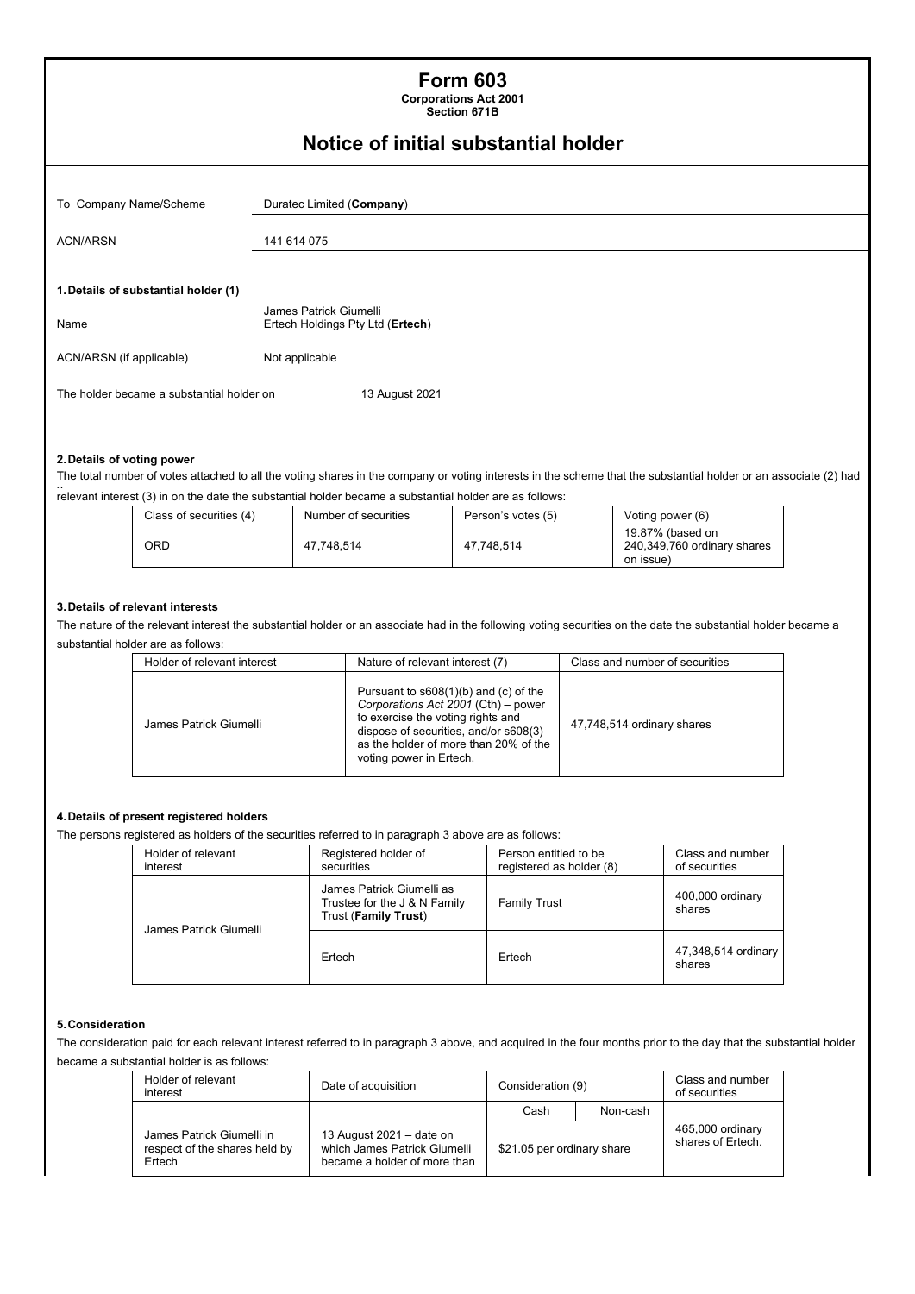| <b>Form 603</b><br><b>Corporations Act 2001</b><br>Section 671B |                                                            |  |  |  |
|-----------------------------------------------------------------|------------------------------------------------------------|--|--|--|
|                                                                 | Notice of initial substantial holder                       |  |  |  |
| To Company Name/Scheme                                          | Duratec Limited (Company)                                  |  |  |  |
| <b>ACN/ARSN</b>                                                 | 141 614 075                                                |  |  |  |
| 1. Details of substantial holder (1)<br>Name                    | James Patrick Giumelli<br>Ertech Holdings Pty Ltd (Ertech) |  |  |  |
| ACN/ARSN (if applicable)                                        | Not applicable                                             |  |  |  |
| The holder became a substantial holder on                       | 13 August 2021                                             |  |  |  |

### **2. Details of voting power**

The total number of votes attached to all the voting shares in the company or voting interests in the scheme that the substantial holder or an associate (2) had -<br>relevant interest (3) in on the date the substantial holder became a substantial holder are as follows:

| Class of securities (4) | Number of securities | Person's votes (5) | Voting power (6)                                             |
|-------------------------|----------------------|--------------------|--------------------------------------------------------------|
| ORD                     | 47.748.514           | 47.748.514         | 19.87% (based on<br>240,349,760 ordinary shares<br>on issue) |

### **3. Details of relevant interests**

The nature of the relevant interest the substantial holder or an associate had in the following voting securities on the date the substantial holder became a substantial holder are as follows:

| Holder of relevant interest | Nature of relevant interest (7)                                                                                                                                                                                                  | Class and number of securities |
|-----------------------------|----------------------------------------------------------------------------------------------------------------------------------------------------------------------------------------------------------------------------------|--------------------------------|
| James Patrick Giumelli      | Pursuant to $s608(1)(b)$ and (c) of the<br>Corporations Act 2001 (Cth) - power<br>to exercise the voting rights and<br>dispose of securities, and/or s608(3)<br>as the holder of more than 20% of the<br>voting power in Ertech. | 47,748,514 ordinary shares     |

### **4. Details of present registered holders**

The persons registered as holders of the securities referred to in paragraph 3 above are as follows:

|  | Holder of relevant<br>interest | Registered holder of<br>securities                                                | Person entitled to be<br>registered as holder (8) | Class and number<br>of securities |
|--|--------------------------------|-----------------------------------------------------------------------------------|---------------------------------------------------|-----------------------------------|
|  | James Patrick Giumelli         | James Patrick Giumelli as<br>Trustee for the J & N Family<br>Trust (Family Trust) | <b>Family Trust</b>                               | 400,000 ordinary<br>shares        |
|  |                                | Ertech                                                                            | Ertech                                            | 47,348,514 ordinary<br>shares     |

#### **5. Consideration**

The consideration paid for each relevant interest referred to in paragraph 3 above, and acquired in the four months prior to the day that the substantial holder became a substantial holder is as follows:

| Holder of relevant<br>interest                                       | Date of acquisition                                                                      | Consideration (9)          |          | Class and number<br>of securities     |
|----------------------------------------------------------------------|------------------------------------------------------------------------------------------|----------------------------|----------|---------------------------------------|
|                                                                      |                                                                                          | Cash                       | Non-cash |                                       |
| James Patrick Giumelli in<br>respect of the shares held by<br>Ertech | 13 August 2021 – date on<br>which James Patrick Giumelli<br>became a holder of more than | \$21.05 per ordinary share |          | 465,000 ordinary<br>shares of Ertech. |